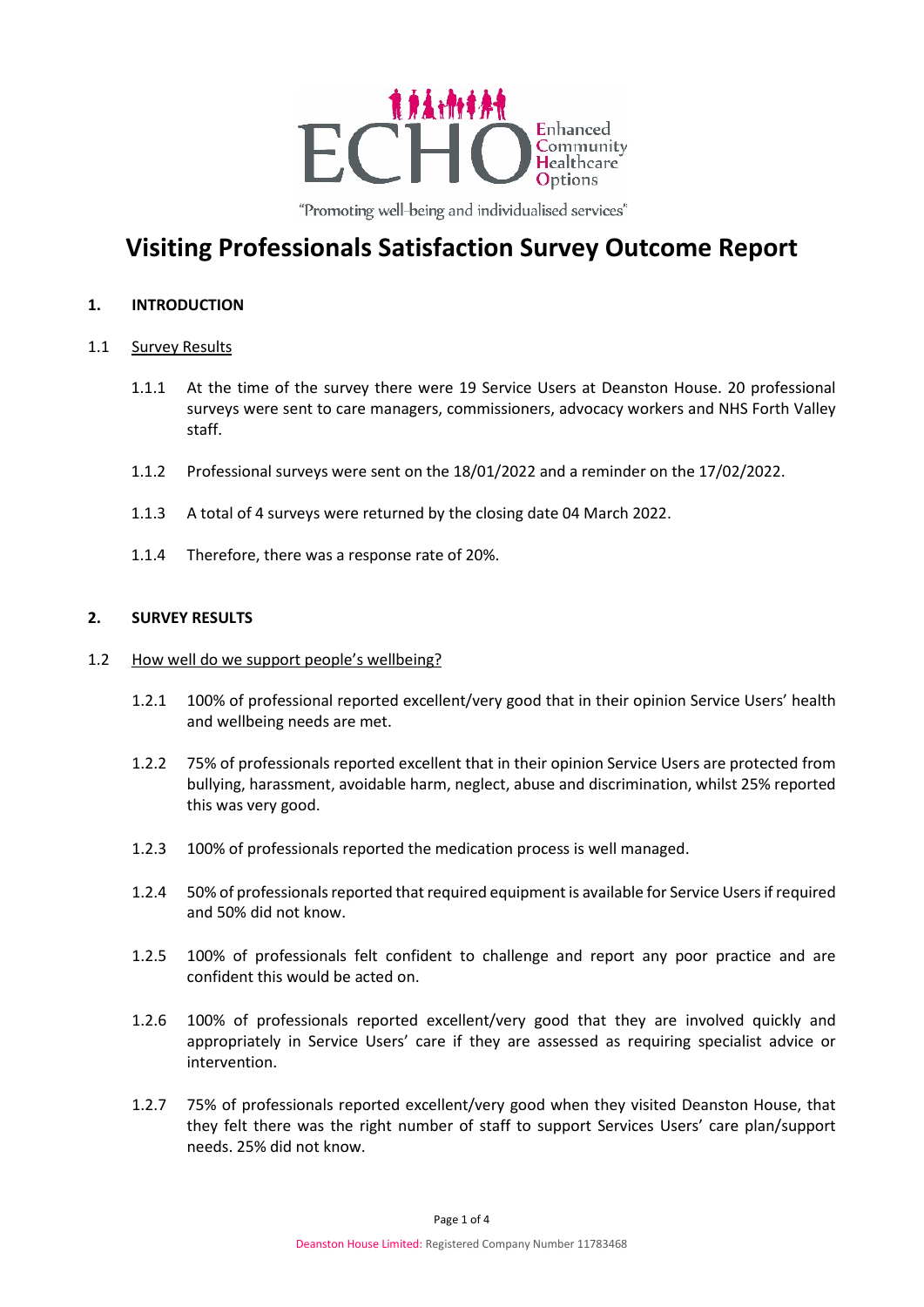

"Promoting well-being and individualised services"

# **Visiting Professionals Satisfaction Survey Outcome Report**

### **1. INTRODUCTION**

#### 1.1 Survey Results

- 1.1.1 At the time of the survey there were 19 Service Users at Deanston House. 20 professional surveys were sent to care managers, commissioners, advocacy workers and NHS Forth Valley staff.
- 1.1.2 Professional surveys were sent on the 18/01/2022 and a reminder on the 17/02/2022.
- 1.1.3 A total of 4 surveys were returned by the closing date 04 March 2022.
- 1.1.4 Therefore, there was a response rate of 20%.

### **2. SURVEY RESULTS**

#### 1.2 How well do we support people's wellbeing?

- 1.2.1 100% of professional reported excellent/very good that in their opinion Service Users' health and wellbeing needs are met.
- 1.2.2 75% of professionals reported excellent that in their opinion Service Users are protected from bullying, harassment, avoidable harm, neglect, abuse and discrimination, whilst 25% reported this was very good.
- 1.2.3 100% of professionals reported the medication process is well managed.
- 1.2.4 50% of professionals reported that required equipment is available for Service Users if required and 50% did not know.
- 1.2.5 100% of professionals felt confident to challenge and report any poor practice and are confident this would be acted on.
- 1.2.6 100% of professionals reported excellent/very good that they are involved quickly and appropriately in Service Users' care if they are assessed as requiring specialist advice or intervention.
- 1.2.7 75% of professionals reported excellent/very good when they visited Deanston House, that they felt there was the right number of staff to support Services Users' care plan/support needs. 25% did not know.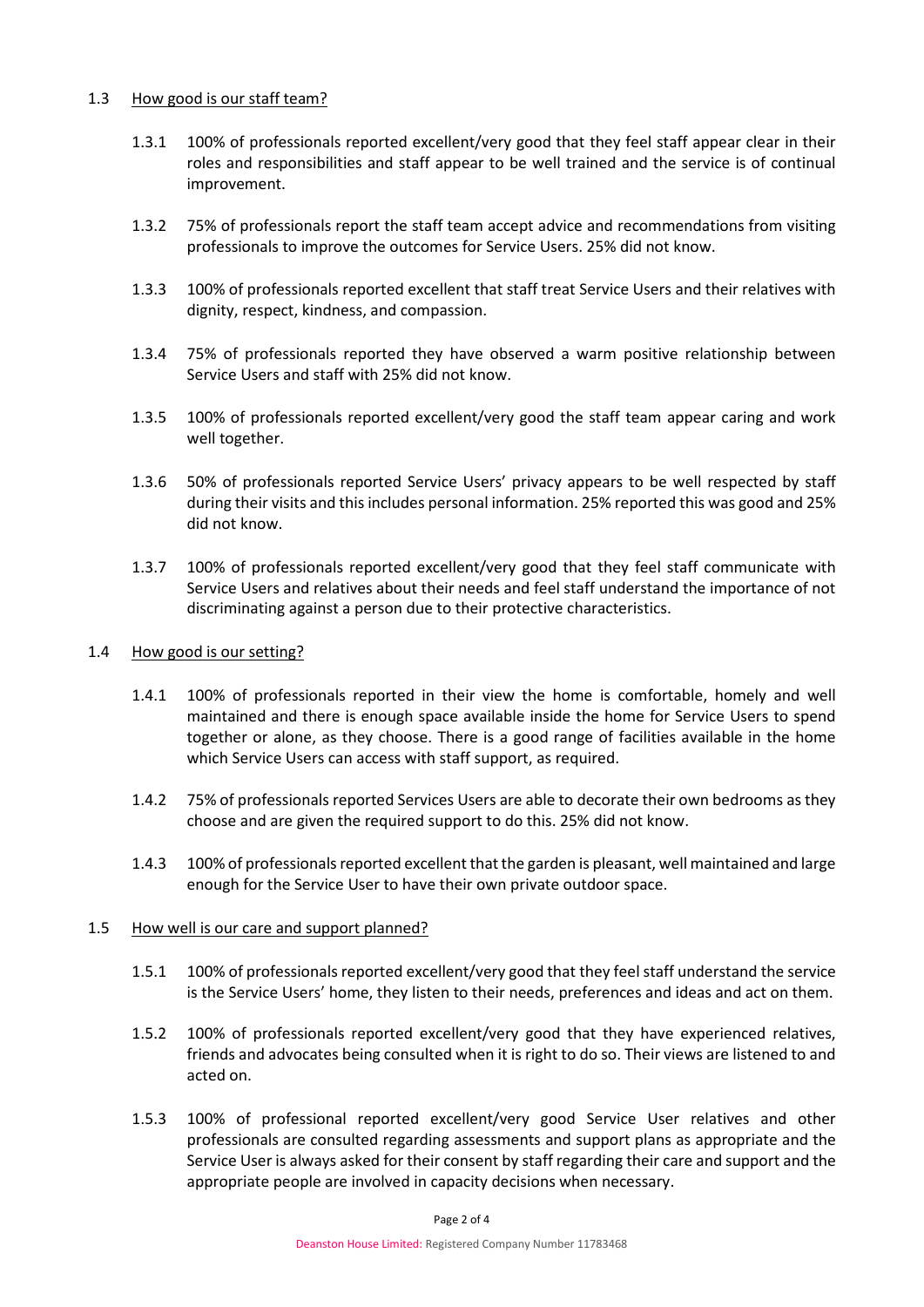### 1.3 How good is our staff team?

- 1.3.1 100% of professionals reported excellent/very good that they feel staff appear clear in their roles and responsibilities and staff appear to be well trained and the service is of continual improvement.
- 1.3.2 75% of professionals report the staff team accept advice and recommendations from visiting professionals to improve the outcomes for Service Users. 25% did not know.
- 1.3.3 100% of professionals reported excellent that staff treat Service Users and their relatives with dignity, respect, kindness, and compassion.
- 1.3.4 75% of professionals reported they have observed a warm positive relationship between Service Users and staff with 25% did not know.
- 1.3.5 100% of professionals reported excellent/very good the staff team appear caring and work well together.
- 1.3.6 50% of professionals reported Service Users' privacy appears to be well respected by staff during their visits and this includes personal information. 25% reported this was good and 25% did not know.
- 1.3.7 100% of professionals reported excellent/very good that they feel staff communicate with Service Users and relatives about their needs and feel staff understand the importance of not discriminating against a person due to their protective characteristics.

# 1.4 How good is our setting?

- 1.4.1 100% of professionals reported in their view the home is comfortable, homely and well maintained and there is enough space available inside the home for Service Users to spend together or alone, as they choose. There is a good range of facilities available in the home which Service Users can access with staff support, as required.
- 1.4.2 75% of professionals reported Services Users are able to decorate their own bedrooms as they choose and are given the required support to do this. 25% did not know.
- 1.4.3 100% of professionals reported excellent that the garden is pleasant, well maintained and large enough for the Service User to have their own private outdoor space.

### 1.5 How well is our care and support planned?

- 1.5.1 100% of professionals reported excellent/very good that they feel staff understand the service is the Service Users' home, they listen to their needs, preferences and ideas and act on them.
- 1.5.2 100% of professionals reported excellent/very good that they have experienced relatives, friends and advocates being consulted when it is right to do so. Their views are listened to and acted on.
- 1.5.3 100% of professional reported excellent/very good Service User relatives and other professionals are consulted regarding assessments and support plans as appropriate and the Service User is always asked for their consent by staff regarding their care and support and the appropriate people are involved in capacity decisions when necessary.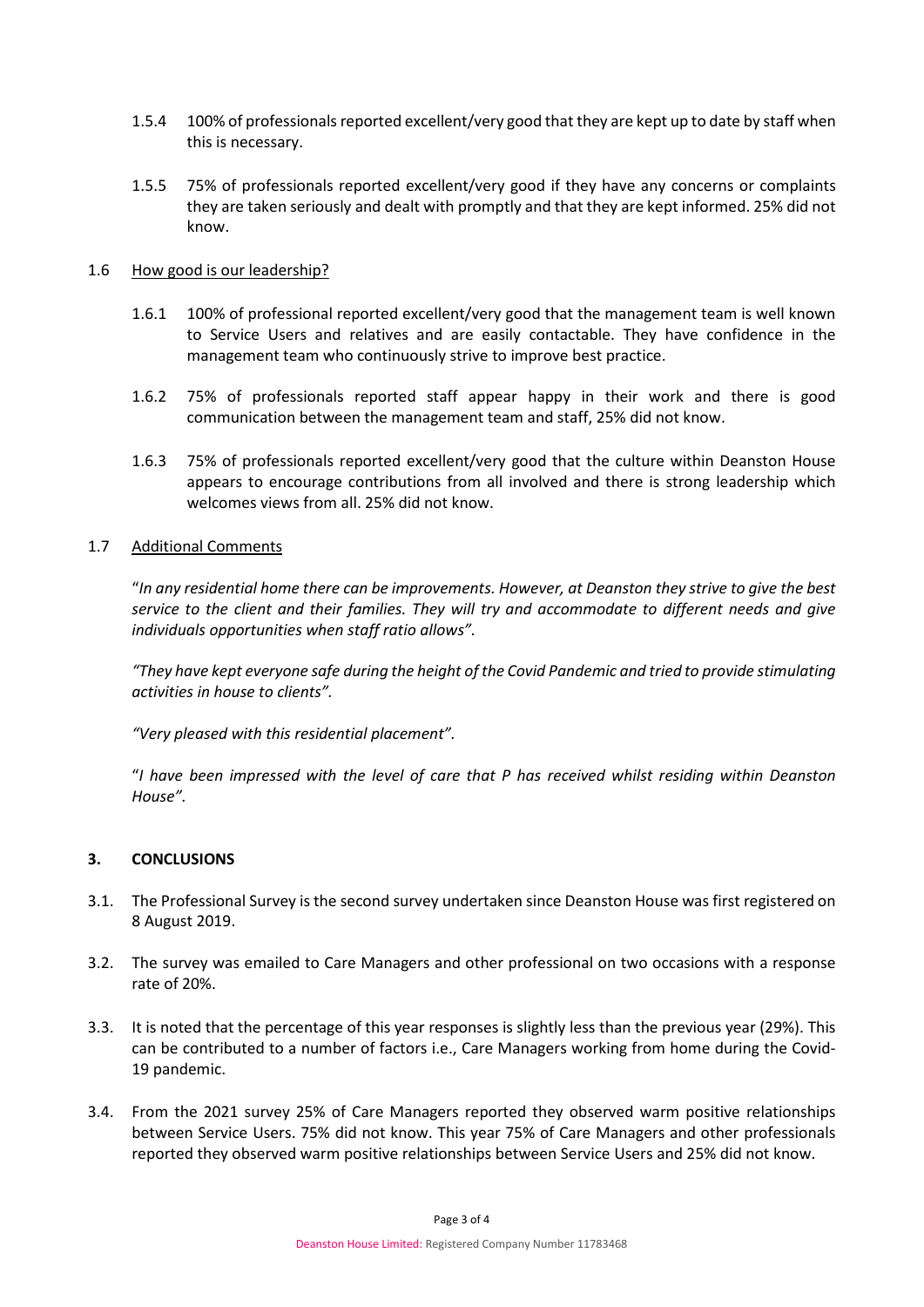- 1.5.4 100% of professionals reported excellent/very good that they are kept up to date by staff when this is necessary.
- 1.5.5 75% of professionals reported excellent/very good if they have any concerns or complaints they are taken seriously and dealt with promptly and that they are kept informed. 25% did not know.

### 1.6 How good is our leadership?

- 1.6.1 100% of professional reported excellent/very good that the management team is well known to Service Users and relatives and are easily contactable. They have confidence in the management team who continuously strive to improve best practice.
- 1.6.2 75% of professionals reported staff appear happy in their work and there is good communication between the management team and staff, 25% did not know.
- 1.6.3 75% of professionals reported excellent/very good that the culture within Deanston House appears to encourage contributions from all involved and there is strong leadership which welcomes views from all. 25% did not know.

#### 1.7 Additional Comments

"*In any residential home there can be improvements. However, at Deanston they strive to give the best service to the client and their families. They will try and accommodate to different needs and give individuals opportunities when staff ratio allows".* 

*"They have kept everyone safe during the height of the Covid Pandemic and tried to provide stimulating activities in house to clients".* 

*"Very pleased with this residential placement".*

"*I have been impressed with the level of care that P has received whilst residing within Deanston House".* 

### **3. CONCLUSIONS**

- 3.1. The Professional Survey is the second survey undertaken since Deanston House was first registered on 8 August 2019.
- 3.2. The survey was emailed to Care Managers and other professional on two occasions with a response rate of 20%.
- 3.3. It is noted that the percentage of this year responses is slightly less than the previous year (29%). This can be contributed to a number of factors i.e., Care Managers working from home during the Covid-19 pandemic.
- 3.4. From the 2021 survey 25% of Care Managers reported they observed warm positive relationships between Service Users. 75% did not know. This year 75% of Care Managers and other professionals reported they observed warm positive relationships between Service Users and 25% did not know.